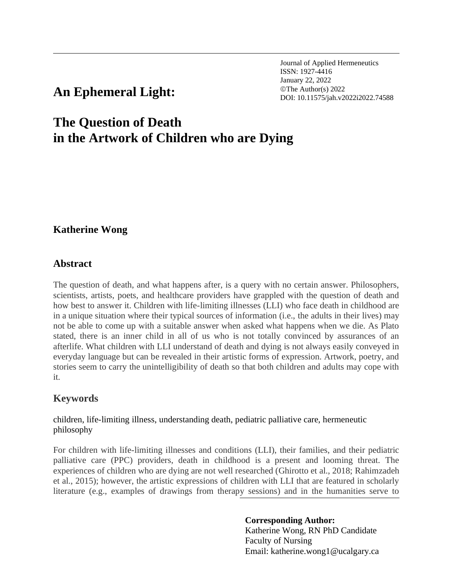Journal of Applied Hermeneutics ISSN: 1927-4416 January 22, 2022 **An Ephemeral Light:**  $\sum_{\text{DOL: 10.11575/jah.v2022i2022.74588}}$ 

# **The Question of Death in the Artwork of Children who are Dying**

## **Katherine Wong**

## **Abstract**

The question of death, and what happens after, is a query with no certain answer. Philosophers, scientists, artists, poets, and healthcare providers have grappled with the question of death and how best to answer it. Children with life-limiting illnesses (LLI) who face death in childhood are in a unique situation where their typical sources of information (i.e., the adults in their lives) may not be able to come up with a suitable answer when asked what happens when we die. As Plato stated, there is an inner child in all of us who is not totally convinced by assurances of an afterlife. What children with LLI understand of death and dying is not always easily conveyed in everyday language but can be revealed in their artistic forms of expression. Artwork, poetry, and stories seem to carry the unintelligibility of death so that both children and adults may cope with it.

## **Keywords**

children, life-limiting illness, understanding death, pediatric palliative care, hermeneutic philosophy

For children with life-limiting illnesses and conditions (LLI), their families, and their pediatric palliative care (PPC) providers, death in childhood is a present and looming threat. The experiences of children who are dying are not well researched (Ghirotto et al., 2018; Rahimzadeh et al., 2015); however, the artistic expressions of children with LLI that are featured in scholarly literature (e.g., examples of drawings from therapy sessions) and in the humanities serve to

#### **Corresponding Author:**

Katherine Wong, RN PhD Candidate Faculty of Nursing Email: katherine.wong1@ucalgary.ca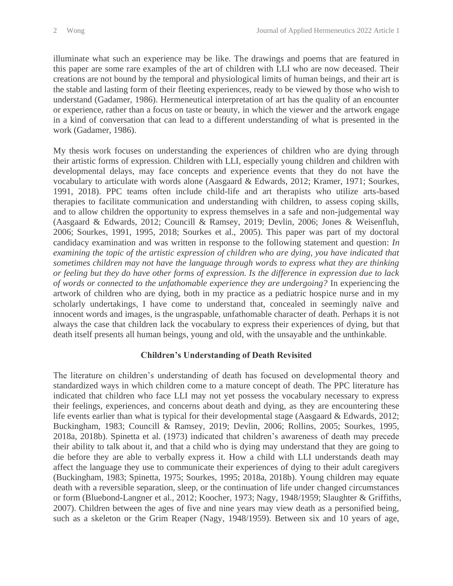illuminate what such an experience may be like. The drawings and poems that are featured in this paper are some rare examples of the art of children with LLI who are now deceased. Their creations are not bound by the temporal and physiological limits of human beings, and their art is the stable and lasting form of their fleeting experiences, ready to be viewed by those who wish to understand (Gadamer, 1986). Hermeneutical interpretation of art has the quality of an encounter or experience, rather than a focus on taste or beauty, in which the viewer and the artwork engage in a kind of conversation that can lead to a different understanding of what is presented in the work (Gadamer, 1986).

My thesis work focuses on understanding the experiences of children who are dying through their artistic forms of expression. Children with LLI, especially young children and children with developmental delays, may face concepts and experience events that they do not have the vocabulary to articulate with words alone (Aasgaard & Edwards, 2012; Kramer, 1971; Sourkes, 1991, 2018). PPC teams often include child-life and art therapists who utilize arts-based therapies to facilitate communication and understanding with children, to assess coping skills, and to allow children the opportunity to express themselves in a safe and non-judgemental way (Aasgaard & Edwards, 2012; Councill & Ramsey, 2019; Devlin, 2006; Jones & Weisenfluh, 2006; Sourkes, 1991, 1995, 2018; Sourkes et al., 2005). This paper was part of my doctoral candidacy examination and was written in response to the following statement and question: *In examining the topic of the artistic expression of children who are dying, you have indicated that sometimes children may not have the language through words to express what they are thinking or feeling but they do have other forms of expression. Is the difference in expression due to lack of words or connected to the unfathomable experience they are undergoing?* In experiencing the artwork of children who are dying, both in my practice as a pediatric hospice nurse and in my scholarly undertakings, I have come to understand that, concealed in seemingly naïve and innocent words and images, is the ungraspable, unfathomable character of death. Perhaps it is not always the case that children lack the vocabulary to express their experiences of dying, but that death itself presents all human beings, young and old, with the unsayable and the unthinkable.

### **Children's Understanding of Death Revisited**

The literature on children's understanding of death has focused on developmental theory and standardized ways in which children come to a mature concept of death. The PPC literature has indicated that children who face LLI may not yet possess the vocabulary necessary to express their feelings, experiences, and concerns about death and dying, as they are encountering these life events earlier than what is typical for their developmental stage (Aasgaard & Edwards, 2012; Buckingham, 1983; Councill & Ramsey, 2019; Devlin, 2006; Rollins, 2005; Sourkes, 1995, 2018a, 2018b). Spinetta et al. (1973) indicated that children's awareness of death may precede their ability to talk about it, and that a child who is dying may understand that they are going to die before they are able to verbally express it. How a child with LLI understands death may affect the language they use to communicate their experiences of dying to their adult caregivers (Buckingham, 1983; Spinetta, 1975; Sourkes, 1995; 2018a, 2018b). Young children may equate death with a reversible separation, sleep, or the continuation of life under changed circumstances or form (Bluebond-Langner et al., 2012; Koocher, 1973; Nagy, 1948/1959; Slaughter & Griffiths, 2007). Children between the ages of five and nine years may view death as a personified being, such as a skeleton or the Grim Reaper (Nagy, 1948/1959). Between six and 10 years of age,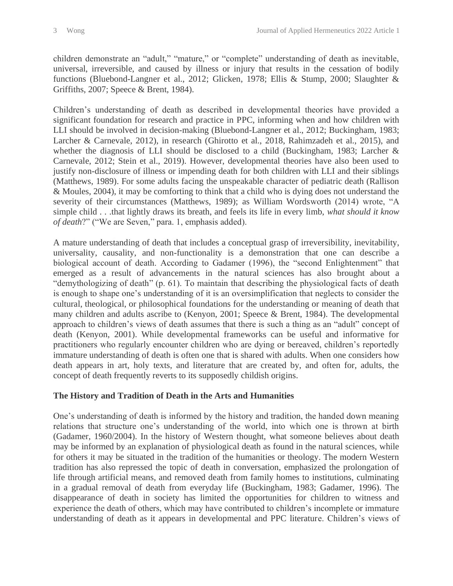children demonstrate an "adult," "mature," or "complete" understanding of death as inevitable, universal, irreversible, and caused by illness or injury that results in the cessation of bodily functions (Bluebond-Langner et al., 2012; Glicken, 1978; Ellis & Stump, 2000; Slaughter & Griffiths, 2007; Speece & Brent, 1984).

Children's understanding of death as described in developmental theories have provided a significant foundation for research and practice in PPC, informing when and how children with LLI should be involved in decision-making (Bluebond-Langner et al., 2012; Buckingham, 1983; Larcher & Carnevale, 2012), in research (Ghirotto et al., 2018, Rahimzadeh et al., 2015), and whether the diagnosis of LLI should be disclosed to a child (Buckingham, 1983; Larcher & Carnevale, 2012; Stein et al., 2019). However, developmental theories have also been used to justify non-disclosure of illness or impending death for both children with LLI and their siblings (Matthews, 1989). For some adults facing the unspeakable character of pediatric death (Rallison & Moules, 2004), it may be comforting to think that a child who is dying does not understand the severity of their circumstances (Matthews, 1989); as William Wordsworth (2014) wrote, "A simple child . . .that lightly draws its breath, and feels its life in every limb, *what should it know of death*?" ("We are Seven," para. 1, emphasis added).

A mature understanding of death that includes a conceptual grasp of irreversibility, inevitability, universality, causality, and non-functionality is a demonstration that one can describe a biological account of death. According to Gadamer (1996), the "second Enlightenment" that emerged as a result of advancements in the natural sciences has also brought about a "demythologizing of death" (p. 61). To maintain that describing the physiological facts of death is enough to shape one's understanding of it is an oversimplification that neglects to consider the cultural, theological, or philosophical foundations for the understanding or meaning of death that many children and adults ascribe to (Kenyon, 2001; Speece & Brent, 1984). The developmental approach to children's views of death assumes that there is such a thing as an "adult" concept of death (Kenyon, 2001). While developmental frameworks can be useful and informative for practitioners who regularly encounter children who are dying or bereaved, children's reportedly immature understanding of death is often one that is shared with adults. When one considers how death appears in art, holy texts, and literature that are created by, and often for, adults, the concept of death frequently reverts to its supposedly childish origins.

### **The History and Tradition of Death in the Arts and Humanities**

One's understanding of death is informed by the history and tradition, the handed down meaning relations that structure one's understanding of the world, into which one is thrown at birth (Gadamer, 1960/2004). In the history of Western thought, what someone believes about death may be informed by an explanation of physiological death as found in the natural sciences, while for others it may be situated in the tradition of the humanities or theology. The modern Western tradition has also repressed the topic of death in conversation, emphasized the prolongation of life through artificial means, and removed death from family homes to institutions, culminating in a gradual removal of death from everyday life (Buckingham, 1983; Gadamer, 1996). The disappearance of death in society has limited the opportunities for children to witness and experience the death of others, which may have contributed to children's incomplete or immature understanding of death as it appears in developmental and PPC literature. Children's views of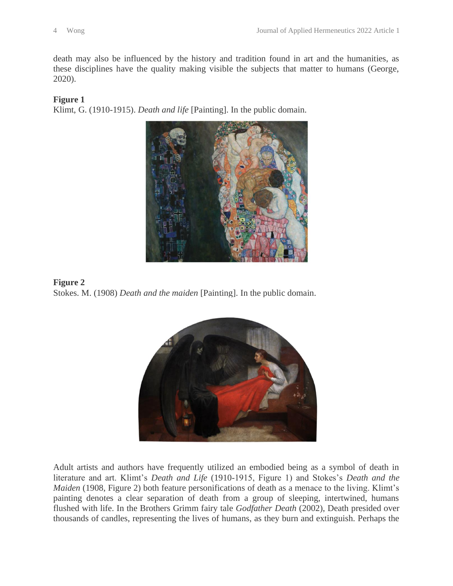death may also be influenced by the history and tradition found in art and the humanities, as these disciplines have the quality making visible the subjects that matter to humans (George, 2020).

#### **Figure 1**

Klimt, G. (1910-1915). *Death and life* [Painting]. In the public domain.



**Figure 2** Stokes. M. (1908) *Death and the maiden* [Painting]. In the public domain.



Adult artists and authors have frequently utilized an embodied being as a symbol of death in literature and art. Klimt's *Death and Life* (1910-1915, Figure 1) and Stokes's *Death and the Maiden* (1908, Figure 2) both feature personifications of death as a menace to the living. Klimt's painting denotes a clear separation of death from a group of sleeping, intertwined, humans flushed with life. In the Brothers Grimm fairy tale *Godfather Death* (2002), Death presided over thousands of candles, representing the lives of humans, as they burn and extinguish. Perhaps the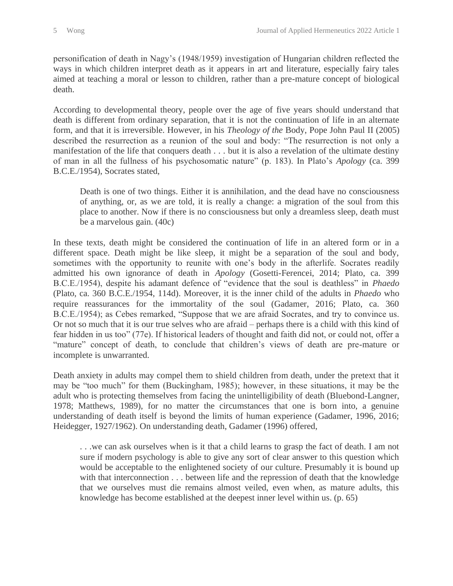personification of death in Nagy's (1948/1959) investigation of Hungarian children reflected the ways in which children interpret death as it appears in art and literature, especially fairy tales aimed at teaching a moral or lesson to children, rather than a pre-mature concept of biological death.

According to developmental theory, people over the age of five years should understand that death is different from ordinary separation, that it is not the continuation of life in an alternate form, and that it is irreversible. However, in his *Theology of the* Body, Pope John Paul II (2005) described the resurrection as a reunion of the soul and body: "The resurrection is not only a manifestation of the life that conquers death . . . but it is also a revelation of the ultimate destiny of man in all the fullness of his psychosomatic nature" (p. 183). In Plato's *Apology* (ca. 399 B.C.E./1954), Socrates stated,

Death is one of two things. Either it is annihilation, and the dead have no consciousness of anything, or, as we are told, it is really a change: a migration of the soul from this place to another. Now if there is no consciousness but only a dreamless sleep, death must be a marvelous gain. (40c)

In these texts, death might be considered the continuation of life in an altered form or in a different space. Death might be like sleep, it might be a separation of the soul and body, sometimes with the opportunity to reunite with one's body in the afterlife. Socrates readily admitted his own ignorance of death in *Apology* (Gosetti-Ferencei, 2014; Plato, ca. 399 B.C.E./1954), despite his adamant defence of "evidence that the soul is deathless" in *Phaedo* (Plato, ca. 360 B.C.E./1954, 114d). Moreover, it is the inner child of the adults in *Phaedo* who require reassurances for the immortality of the soul (Gadamer, 2016; Plato, ca. 360 B.C.E./1954); as Cebes remarked, "Suppose that we are afraid Socrates, and try to convince us. Or not so much that it is our true selves who are afraid – perhaps there is a child with this kind of fear hidden in us too" (77e). If historical leaders of thought and faith did not, or could not, offer a "mature" concept of death, to conclude that children's views of death are pre-mature or incomplete is unwarranted.

Death anxiety in adults may compel them to shield children from death, under the pretext that it may be "too much" for them (Buckingham, 1985); however, in these situations, it may be the adult who is protecting themselves from facing the unintelligibility of death (Bluebond-Langner, 1978; Matthews, 1989), for no matter the circumstances that one is born into, a genuine understanding of death itself is beyond the limits of human experience (Gadamer, 1996, 2016; Heidegger, 1927/1962). On understanding death, Gadamer (1996) offered,

. . .we can ask ourselves when is it that a child learns to grasp the fact of death. I am not sure if modern psychology is able to give any sort of clear answer to this question which would be acceptable to the enlightened society of our culture. Presumably it is bound up with that interconnection . . . between life and the repression of death that the knowledge that we ourselves must die remains almost veiled, even when, as mature adults, this knowledge has become established at the deepest inner level within us. (p. 65)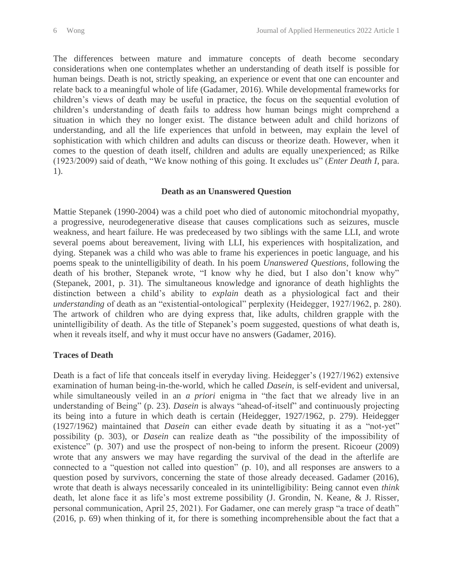The differences between mature and immature concepts of death become secondary considerations when one contemplates whether an understanding of death itself is possible for human beings. Death is not, strictly speaking, an experience or event that one can encounter and relate back to a meaningful whole of life (Gadamer, 2016). While developmental frameworks for children's views of death may be useful in practice, the focus on the sequential evolution of children's understanding of death fails to address how human beings might comprehend a situation in which they no longer exist. The distance between adult and child horizons of understanding, and all the life experiences that unfold in between, may explain the level of sophistication with which children and adults can discuss or theorize death. However, when it comes to the question of death itself, children and adults are equally unexperienced; as Rilke (1923/2009) said of death, "We know nothing of this going. It excludes us" (*Enter Death I*, para. 1).

#### **Death as an Unanswered Question**

Mattie Stepanek (1990-2004) was a child poet who died of autonomic mitochondrial myopathy, a progressive, neurodegenerative disease that causes complications such as seizures, muscle weakness, and heart failure. He was predeceased by two siblings with the same LLI, and wrote several poems about bereavement, living with LLI, his experiences with hospitalization, and dying. Stepanek was a child who was able to frame his experiences in poetic language, and his poems speak to the unintelligibility of death. In his poem *Unanswered Questions*, following the death of his brother, Stepanek wrote, "I know why he died, but I also don't know why" (Stepanek, 2001, p. 31). The simultaneous knowledge and ignorance of death highlights the distinction between a child's ability to *explain* death as a physiological fact and their *understanding* of death as an "existential-ontological" perplexity (Heidegger, 1927/1962, p. 280). The artwork of children who are dying express that, like adults, children grapple with the unintelligibility of death. As the title of Stepanek's poem suggested, questions of what death is, when it reveals itself, and why it must occur have no answers (Gadamer, 2016).

#### **Traces of Death**

Death is a fact of life that conceals itself in everyday living. Heidegger's (1927/1962) extensive examination of human being-in-the-world, which he called *Dasein*, is self-evident and universal, while simultaneously veiled in an *a priori* enigma in "the fact that we already live in an understanding of Being" (p. 23). *Dasein* is always "ahead-of-itself" and continuously projecting its being into a future in which death is certain (Heidegger, 1927/1962, p. 279). Heidegger (1927/1962) maintained that *Dasein* can either evade death by situating it as a "not-yet" possibility (p. 303), or *Dasein* can realize death as "the possibility of the impossibility of existence" (p. 307) and use the prospect of non-being to inform the present. Ricoeur (2009) wrote that any answers we may have regarding the survival of the dead in the afterlife are connected to a "question not called into question" (p. 10), and all responses are answers to a question posed by survivors, concerning the state of those already deceased. Gadamer (2016), wrote that death is always necessarily concealed in its unintelligibility: Being cannot even *think* death, let alone face it as life's most extreme possibility (J. Grondin, N. Keane, & J. Risser, personal communication, April 25, 2021). For Gadamer, one can merely grasp "a trace of death" (2016, p. 69) when thinking of it, for there is something incomprehensible about the fact that a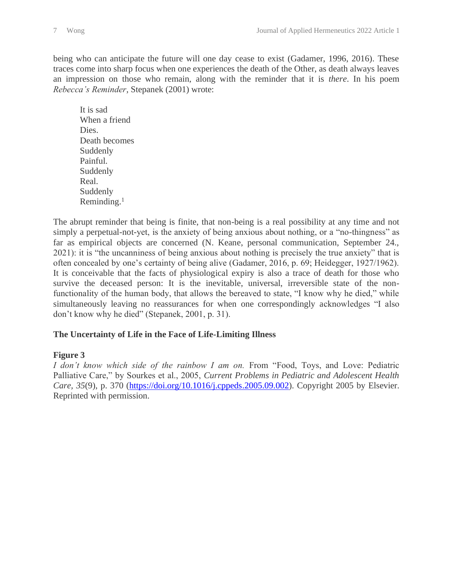being who can anticipate the future will one day cease to exist (Gadamer, 1996, 2016). These traces come into sharp focus when one experiences the death of the Other, as death always leaves an impression on those who remain, along with the reminder that it is *there*. In his poem *Rebecca's Reminder*, Stepanek (2001) wrote:

It is sad When a friend Dies. Death becomes Suddenly Painful. Suddenly Real. Suddenly Reminding. 1

The abrupt reminder that being is finite, that non-being is a real possibility at any time and not simply a perpetual-not-yet, is the anxiety of being anxious about nothing, or a "no-thingness" as far as empirical objects are concerned (N. Keane, personal communication, September 24., 2021): it is "the uncanniness of being anxious about nothing is precisely the true anxiety" that is often concealed by one's certainty of being alive (Gadamer, 2016, p. 69; Heidegger, 1927/1962). It is conceivable that the facts of physiological expiry is also a trace of death for those who survive the deceased person: It is the inevitable, universal, irreversible state of the nonfunctionality of the human body, that allows the bereaved to state, "I know why he died," while simultaneously leaving no reassurances for when one correspondingly acknowledges "I also don't know why he died" (Stepanek, 2001, p. 31).

### **The Uncertainty of Life in the Face of Life-Limiting Illness**

#### **Figure 3**

*I don't know which side of the rainbow I am on.* From "Food, Toys, and Love: Pediatric Palliative Care," by Sourkes et al., 2005, *Current Problems in Pediatric and Adolescent Health Care, 35*(9), p. 370 [\(https://doi.org/10.1016/j.cppeds.2005.09.002\)](https://doi.org/10.1016/j.cppeds.2005.09.002). Copyright 2005 by Elsevier. Reprinted with permission.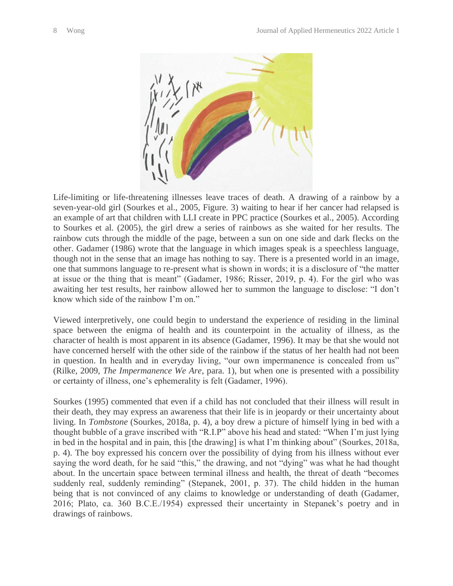

Life-limiting or life-threatening illnesses leave traces of death. A drawing of a rainbow by a seven-year-old girl (Sourkes et al., 2005, Figure. 3) waiting to hear if her cancer had relapsed is an example of art that children with LLI create in PPC practice (Sourkes et al., 2005). According to Sourkes et al. (2005), the girl drew a series of rainbows as she waited for her results. The rainbow cuts through the middle of the page, between a sun on one side and dark flecks on the other. Gadamer (1986) wrote that the language in which images speak is a speechless language, though not in the sense that an image has nothing to say. There is a presented world in an image, one that summons language to re-present what is shown in words; it is a disclosure of "the matter at issue or the thing that is meant" (Gadamer, 1986; Risser, 2019, p. 4). For the girl who was awaiting her test results, her rainbow allowed her to summon the language to disclose: "I don't know which side of the rainbow I'm on."

Viewed interpretively, one could begin to understand the experience of residing in the liminal space between the enigma of health and its counterpoint in the actuality of illness, as the character of health is most apparent in its absence (Gadamer, 1996). It may be that she would not have concerned herself with the other side of the rainbow if the status of her health had not been in question. In health and in everyday living, "our own impermanence is concealed from us" (Rilke, 2009, *The Impermanence We Are*, para. 1), but when one is presented with a possibility or certainty of illness, one's ephemerality is felt (Gadamer, 1996).

Sourkes (1995) commented that even if a child has not concluded that their illness will result in their death, they may express an awareness that their life is in jeopardy or their uncertainty about living. In *Tombstone* (Sourkes, 2018a, p. 4), a boy drew a picture of himself lying in bed with a thought bubble of a grave inscribed with "R.I.P" above his head and stated: "When I'm just lying in bed in the hospital and in pain, this [the drawing] is what I'm thinking about" (Sourkes, 2018a, p. 4). The boy expressed his concern over the possibility of dying from his illness without ever saying the word death, for he said "this," the drawing, and not "dying" was what he had thought about. In the uncertain space between terminal illness and health, the threat of death "becomes suddenly real, suddenly reminding" (Stepanek, 2001, p. 37). The child hidden in the human being that is not convinced of any claims to knowledge or understanding of death (Gadamer, 2016; Plato, ca. 360 B.C.E./1954) expressed their uncertainty in Stepanek's poetry and in drawings of rainbows.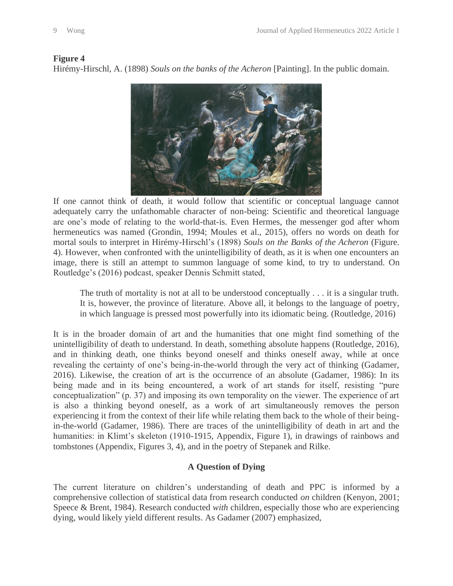#### **Figure 4**

Hirémy-Hirschl, A. (1898) *Souls on the banks of the Acheron* [Painting]. In the public domain.



If one cannot think of death, it would follow that scientific or conceptual language cannot adequately carry the unfathomable character of non-being: Scientific and theoretical language are one's mode of relating to the world-that-is. Even Hermes, the messenger god after whom hermeneutics was named (Grondin, 1994; Moules et al., 2015), offers no words on death for mortal souls to interpret in Hirémy-Hirschl's (1898) *Souls on the Banks of the Acheron* (Figure. 4). However, when confronted with the unintelligibility of death, as it is when one encounters an image, there is still an attempt to summon language of some kind, to try to understand. On Routledge's (2016) podcast, speaker Dennis Schmitt stated,

The truth of mortality is not at all to be understood conceptually . . . it is a singular truth. It is, however, the province of literature. Above all, it belongs to the language of poetry, in which language is pressed most powerfully into its idiomatic being. (Routledge, 2016)

It is in the broader domain of art and the humanities that one might find something of the unintelligibility of death to understand. In death, something absolute happens (Routledge, 2016), and in thinking death, one thinks beyond oneself and thinks oneself away, while at once revealing the certainty of one's being-in-the-world through the very act of thinking (Gadamer, 2016). Likewise, the creation of art is the occurrence of an absolute (Gadamer, 1986): In its being made and in its being encountered, a work of art stands for itself, resisting "pure conceptualization" (p. 37) and imposing its own temporality on the viewer. The experience of art is also a thinking beyond oneself, as a work of art simultaneously removes the person experiencing it from the context of their life while relating them back to the whole of their beingin-the-world (Gadamer, 1986). There are traces of the unintelligibility of death in art and the humanities: in Klimt's skeleton (1910-1915, Appendix, Figure 1), in drawings of rainbows and tombstones (Appendix, Figures 3, 4), and in the poetry of Stepanek and Rilke.

### **A Question of Dying**

The current literature on children's understanding of death and PPC is informed by a comprehensive collection of statistical data from research conducted *on* children (Kenyon, 2001; Speece & Brent, 1984). Research conducted *with* children, especially those who are experiencing dying, would likely yield different results. As Gadamer (2007) emphasized,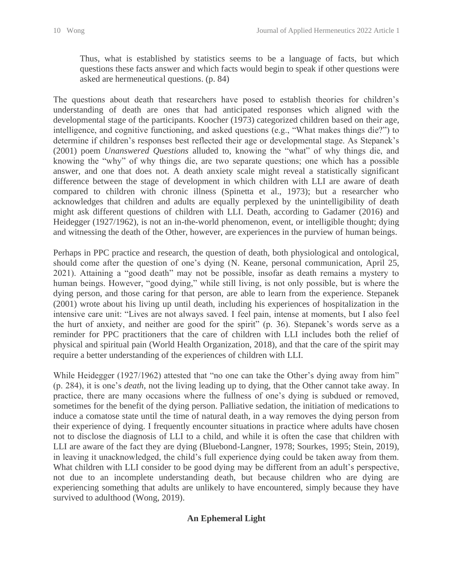Thus, what is established by statistics seems to be a language of facts, but which questions these facts answer and which facts would begin to speak if other questions were asked are hermeneutical questions. (p. 84)

The questions about death that researchers have posed to establish theories for children's understanding of death are ones that had anticipated responses which aligned with the developmental stage of the participants. Koocher (1973) categorized children based on their age, intelligence, and cognitive functioning, and asked questions (e.g., "What makes things die?") to determine if children's responses best reflected their age or developmental stage. As Stepanek's (2001) poem *Unanswered Questions* alluded to, knowing the "what" of why things die, and knowing the "why" of why things die, are two separate questions; one which has a possible answer, and one that does not. A death anxiety scale might reveal a statistically significant difference between the stage of development in which children with LLI are aware of death compared to children with chronic illness (Spinetta et al., 1973); but a researcher who acknowledges that children and adults are equally perplexed by the unintelligibility of death might ask different questions of children with LLI. Death, according to Gadamer (2016) and Heidegger (1927/1962), is not an in-the-world phenomenon, event, or intelligible thought; dying and witnessing the death of the Other, however, are experiences in the purview of human beings.

Perhaps in PPC practice and research, the question of death, both physiological and ontological, should come after the question of one's dying (N. Keane, personal communication, April 25, 2021). Attaining a "good death" may not be possible, insofar as death remains a mystery to human beings. However, "good dying," while still living, is not only possible, but is where the dying person, and those caring for that person, are able to learn from the experience. Stepanek (2001) wrote about his living up until death, including his experiences of hospitalization in the intensive care unit: "Lives are not always saved. I feel pain, intense at moments, but I also feel the hurt of anxiety, and neither are good for the spirit" (p. 36). Stepanek's words serve as a reminder for PPC practitioners that the care of children with LLI includes both the relief of physical and spiritual pain (World Health Organization, 2018), and that the care of the spirit may require a better understanding of the experiences of children with LLI.

While Heidegger (1927/1962) attested that "no one can take the Other's dying away from him" (p. 284), it is one's *death*, not the living leading up to dying, that the Other cannot take away. In practice, there are many occasions where the fullness of one's dying is subdued or removed, sometimes for the benefit of the dying person. Palliative sedation, the initiation of medications to induce a comatose state until the time of natural death, in a way removes the dying person from their experience of dying. I frequently encounter situations in practice where adults have chosen not to disclose the diagnosis of LLI to a child, and while it is often the case that children with LLI are aware of the fact they are dying (Bluebond-Langner, 1978; Sourkes, 1995; Stein, 2019), in leaving it unacknowledged, the child's full experience dying could be taken away from them. What children with LLI consider to be good dying may be different from an adult's perspective, not due to an incomplete understanding death, but because children who are dying are experiencing something that adults are unlikely to have encountered, simply because they have survived to adulthood (Wong, 2019).

## **An Ephemeral Light**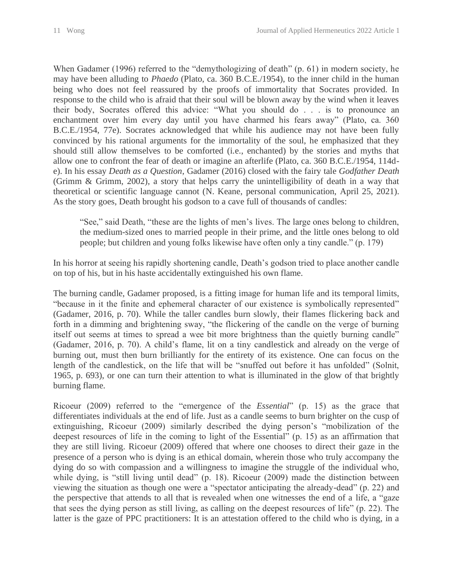When Gadamer (1996) referred to the "demythologizing of death" (p. 61) in modern society, he may have been alluding to *Phaedo* (Plato, ca. 360 B.C.E./1954), to the inner child in the human being who does not feel reassured by the proofs of immortality that Socrates provided. In response to the child who is afraid that their soul will be blown away by the wind when it leaves their body, Socrates offered this advice: "What you should do . . . is to pronounce an enchantment over him every day until you have charmed his fears away" (Plato, ca. 360 B.C.E./1954, 77e). Socrates acknowledged that while his audience may not have been fully convinced by his rational arguments for the immortality of the soul, he emphasized that they should still allow themselves to be comforted (i.e., enchanted) by the stories and myths that allow one to confront the fear of death or imagine an afterlife (Plato, ca. 360 B.C.E./1954, 114de). In his essay *Death as a Question*, Gadamer (2016) closed with the fairy tale *Godfather Death* (Grimm & Grimm, 2002), a story that helps carry the unintelligibility of death in a way that theoretical or scientific language cannot (N. Keane, personal communication, April 25, 2021). As the story goes, Death brought his godson to a cave full of thousands of candles:

"See," said Death, "these are the lights of men's lives. The large ones belong to children, the medium-sized ones to married people in their prime, and the little ones belong to old people; but children and young folks likewise have often only a tiny candle." (p. 179)

In his horror at seeing his rapidly shortening candle, Death's godson tried to place another candle on top of his, but in his haste accidentally extinguished his own flame.

The burning candle, Gadamer proposed, is a fitting image for human life and its temporal limits, "because in it the finite and ephemeral character of our existence is symbolically represented" (Gadamer, 2016, p. 70). While the taller candles burn slowly, their flames flickering back and forth in a dimming and brightening sway, "the flickering of the candle on the verge of burning itself out seems at times to spread a wee bit more brightness than the quietly burning candle" (Gadamer, 2016, p. 70). A child's flame, lit on a tiny candlestick and already on the verge of burning out, must then burn brilliantly for the entirety of its existence. One can focus on the length of the candlestick, on the life that will be "snuffed out before it has unfolded" (Solnit, 1965, p. 693), or one can turn their attention to what is illuminated in the glow of that brightly burning flame.

Ricoeur (2009) referred to the "emergence of the *Essential*" (p. 15) as the grace that differentiates individuals at the end of life. Just as a candle seems to burn brighter on the cusp of extinguishing, Ricoeur (2009) similarly described the dying person's "mobilization of the deepest resources of life in the coming to light of the Essential" (p. 15) as an affirmation that they are still living. Ricoeur (2009) offered that where one chooses to direct their gaze in the presence of a person who is dying is an ethical domain, wherein those who truly accompany the dying do so with compassion and a willingness to imagine the struggle of the individual who, while dying, is "still living until dead" (p. 18). Ricoeur (2009) made the distinction between viewing the situation as though one were a "spectator anticipating the already-dead" (p. 22) and the perspective that attends to all that is revealed when one witnesses the end of a life, a "gaze that sees the dying person as still living, as calling on the deepest resources of life" (p. 22). The latter is the gaze of PPC practitioners: It is an attestation offered to the child who is dying, in a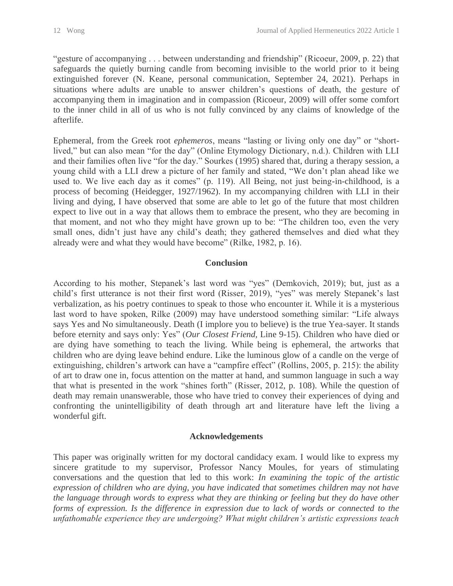"gesture of accompanying . . . between understanding and friendship" (Ricoeur, 2009, p. 22) that safeguards the quietly burning candle from becoming invisible to the world prior to it being extinguished forever (N. Keane, personal communication, September 24, 2021). Perhaps in situations where adults are unable to answer children's questions of death, the gesture of accompanying them in imagination and in compassion (Ricoeur, 2009) will offer some comfort to the inner child in all of us who is not fully convinced by any claims of knowledge of the afterlife.

Ephemeral, from the Greek root *ephemeros*, means "lasting or living only one day" or "shortlived," but can also mean "for the day" (Online Etymology Dictionary, n.d.). Children with LLI and their families often live "for the day." Sourkes (1995) shared that, during a therapy session, a young child with a LLI drew a picture of her family and stated, "We don't plan ahead like we used to. We live each day as it comes" (p. 119). All Being, not just being-in-childhood, is a process of becoming (Heidegger, 1927/1962). In my accompanying children with LLI in their living and dying, I have observed that some are able to let go of the future that most children expect to live out in a way that allows them to embrace the present, who they are becoming in that moment, and not who they might have grown up to be: "The children too, even the very small ones, didn't just have any child's death; they gathered themselves and died what they already were and what they would have become" (Rilke, 1982, p. 16).

### **Conclusion**

According to his mother, Stepanek's last word was "yes" (Demkovich, 2019); but, just as a child's first utterance is not their first word (Risser, 2019), "yes" was merely Stepanek's last verbalization, as his poetry continues to speak to those who encounter it. While it is a mysterious last word to have spoken, Rilke (2009) may have understood something similar: "Life always says Yes and No simultaneously. Death (I implore you to believe) is the true Yea-sayer. It stands before eternity and says only: Yes" (*Our Closest Friend,* Line 9-15). Children who have died or are dying have something to teach the living. While being is ephemeral, the artworks that children who are dying leave behind endure. Like the luminous glow of a candle on the verge of extinguishing, children's artwork can have a "campfire effect" (Rollins, 2005, p. 215): the ability of art to draw one in, focus attention on the matter at hand, and summon language in such a way that what is presented in the work "shines forth" (Risser, 2012, p. 108). While the question of death may remain unanswerable, those who have tried to convey their experiences of dying and confronting the unintelligibility of death through art and literature have left the living a wonderful gift.

#### **Acknowledgements**

This paper was originally written for my doctoral candidacy exam. I would like to express my sincere gratitude to my supervisor, Professor Nancy Moules, for years of stimulating conversations and the question that led to this work: *In examining the topic of the artistic expression of children who are dying, you have indicated that sometimes children may not have the language through words to express what they are thinking or feeling but they do have other forms of expression. Is the difference in expression due to lack of words or connected to the unfathomable experience they are undergoing? What might children's artistic expressions teach*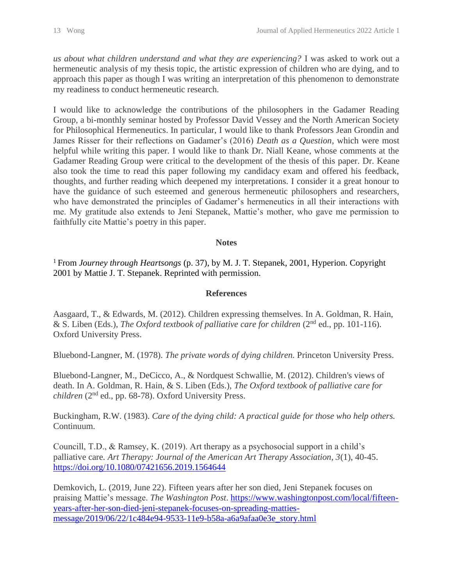*us about what children understand and what they are experiencing?* I was asked to work out a hermeneutic analysis of my thesis topic, the artistic expression of children who are dying, and to approach this paper as though I was writing an interpretation of this phenomenon to demonstrate my readiness to conduct hermeneutic research.

I would like to acknowledge the contributions of the philosophers in the Gadamer Reading Group, a bi-monthly seminar hosted by Professor David Vessey and the North American Society for Philosophical Hermeneutics. In particular, I would like to thank Professors Jean Grondin and James Risser for their reflections on Gadamer's (2016) *Death as a Question*, which were most helpful while writing this paper. I would like to thank Dr. Niall Keane, whose comments at the Gadamer Reading Group were critical to the development of the thesis of this paper. Dr. Keane also took the time to read this paper following my candidacy exam and offered his feedback, thoughts, and further reading which deepened my interpretations. I consider it a great honour to have the guidance of such esteemed and generous hermeneutic philosophers and researchers, who have demonstrated the principles of Gadamer's hermeneutics in all their interactions with me. My gratitude also extends to Jeni Stepanek, Mattie's mother, who gave me permission to faithfully cite Mattie's poetry in this paper.

#### **Notes**

<sup>1</sup> From *Journey through Heartsongs* (p. 37), by M. J. T. Stepanek, 2001, Hyperion. Copyright 2001 by Mattie J. T. Stepanek. Reprinted with permission.

#### **References**

Aasgaard, T., & Edwards, M. (2012). Children expressing themselves. In A. Goldman, R. Hain, & S. Liben (Eds.), *The Oxford textbook of palliative care for children* (2<sup>nd</sup> ed., pp. 101-116). Oxford University Press.

Bluebond-Langner, M. (1978). *The private words of dying children.* Princeton University Press.

Bluebond-Langner, M., DeCicco, A., & Nordquest Schwallie, M. (2012). Children's views of death. In A. Goldman, R. Hain, & S. Liben (Eds.), *The Oxford textbook of palliative care for children* (2nd ed., pp. 68-78). Oxford University Press.

Buckingham, R.W. (1983). *Care of the dying child: A practical guide for those who help others.* Continuum.

Councill, T.D., & Ramsey, K. (2019). Art therapy as a psychosocial support in a child's palliative care. *Art Therapy: Journal of the American Art Therapy Association, 3*(1), 40-45. <https://doi.org/10.1080/07421656.2019.1564644>

Demkovich, L. (2019, June 22). Fifteen years after her son died, Jeni Stepanek focuses on praising Mattie's message. *The Washington Post*. [https://www.washingtonpost.com/local/fifteen](https://www.washingtonpost.com/local/fifteen-years-after-her-son-died-jeni-stepanek-focuses-on-spreading-matties-message/2019/06/22/1c484e94-9533-11e9-b58a-a6a9afaa0e3e_story.html)[years-after-her-son-died-jeni-stepanek-focuses-on-spreading-matties](https://www.washingtonpost.com/local/fifteen-years-after-her-son-died-jeni-stepanek-focuses-on-spreading-matties-message/2019/06/22/1c484e94-9533-11e9-b58a-a6a9afaa0e3e_story.html)[message/2019/06/22/1c484e94-9533-11e9-b58a-a6a9afaa0e3e\\_story.html](https://www.washingtonpost.com/local/fifteen-years-after-her-son-died-jeni-stepanek-focuses-on-spreading-matties-message/2019/06/22/1c484e94-9533-11e9-b58a-a6a9afaa0e3e_story.html)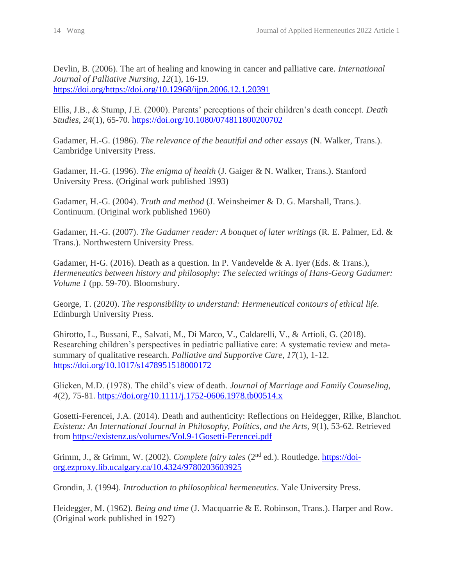Devlin, B. (2006). The art of healing and knowing in cancer and palliative care. *International Journal of Palliative Nursing, 12*(1), 16-19. [https://doi.org/https://doi.org/10.12968/ijpn.2006.12.1.20391](https://doi.org/https:/doi.org/10.12968/ijpn.2006.12.1.20391)

Ellis, J.B., & Stump, J.E. (2000). Parents' perceptions of their children's death concept. *Death Studies, 24*(1), 65-70.<https://doi.org/10.1080/074811800200702>

Gadamer, H.-G. (1986). *The relevance of the beautiful and other essays* (N. Walker, Trans.). Cambridge University Press.

Gadamer, H.-G. (1996). *The enigma of health* (J. Gaiger & N. Walker, Trans.). Stanford University Press. (Original work published 1993)

Gadamer, H.-G. (2004). *Truth and method* (J. Weinsheimer & D. G. Marshall, Trans.). Continuum. (Original work published 1960)

Gadamer, H.-G. (2007). *The Gadamer reader: A bouquet of later writings* (R. E. Palmer, Ed. & Trans.). Northwestern University Press.

Gadamer, H-G. (2016). Death as a question. In P. Vandevelde & A. Iyer (Eds. & Trans.), *Hermeneutics between history and philosophy: The selected writings of Hans-Georg Gadamer: Volume 1* (pp. 59-70). Bloomsbury.

George, T. (2020). *The responsibility to understand: Hermeneutical contours of ethical life.* Edinburgh University Press.

Ghirotto, L., Bussani, E., Salvati, M., Di Marco, V., Caldarelli, V., & Artioli, G. (2018). Researching children's perspectives in pediatric palliative care: A systematic review and metasummary of qualitative research. *Palliative and Supportive Care, 17*(1), 1-12. <https://doi.org/10.1017/s1478951518000172>

Glicken, M.D. (1978). The child's view of death. *Journal of Marriage and Family Counseling, 4*(2), 75-81.<https://doi.org/10.1111/j.1752-0606.1978.tb00514.x>

Gosetti-Ferencei, J.A. (2014). Death and authenticity: Reflections on Heidegger, Rilke, Blanchot. *Existenz: An International Journal in Philosophy, Politics, and the Arts, 9*(1), 53-62. Retrieved from<https://existenz.us/volumes/Vol.9-1Gosetti-Ferencei.pdf>

Grimm, J., & Grimm, W. (2002). *Complete fairy tales* (2nd ed.). Routledge. [https://doi](https://doi-org.ezproxy.lib.ucalgary.ca/10.4324/9780203603925)[org.ezproxy.lib.ucalgary.ca/10.4324/9780203603925](https://doi-org.ezproxy.lib.ucalgary.ca/10.4324/9780203603925)

Grondin, J. (1994). *Introduction to philosophical hermeneutics*. Yale University Press.

Heidegger, M. (1962). *Being and time* (J. Macquarrie & E. Robinson, Trans.). Harper and Row. (Original work published in 1927)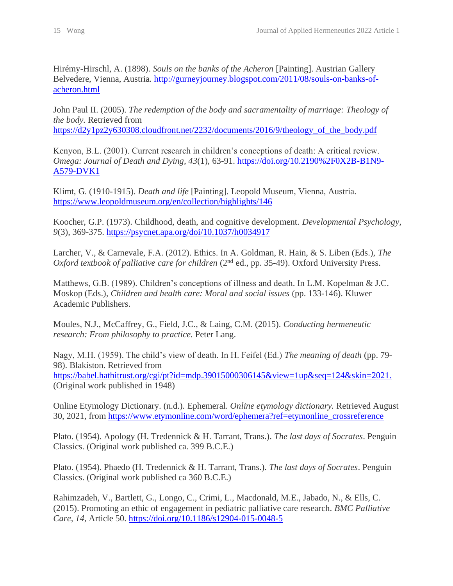Hirémy-Hirschl, A. (1898). *Souls on the banks of the Acheron* [Painting]. Austrian Gallery Belvedere, Vienna, Austria. [http://gurneyjourney.blogspot.com/2011/08/souls-on-banks-of](http://gurneyjourney.blogspot.com/2011/08/souls-on-banks-of-acheron.html)[acheron.html](http://gurneyjourney.blogspot.com/2011/08/souls-on-banks-of-acheron.html)

John Paul II. (2005). *The redemption of the body and sacramentality of marriage: Theology of the body.* Retrieved from

[https://d2y1pz2y630308.cloudfront.net/2232/documents/2016/9/theology\\_of\\_the\\_body.pdf](https://d2y1pz2y630308.cloudfront.net/2232/documents/2016/9/theology_of_the_body.pdf)

Kenyon, B.L. (2001). Current research in children's conceptions of death: A critical review. *Omega: Journal of Death and Dying, 43*(1), 63-91. [https://doi.org/10.2190%2F0X2B-B1N9-](https://doi.org/10.2190%2F0X2B-B1N9-A579-DVK1) [A579-DVK1](https://doi.org/10.2190%2F0X2B-B1N9-A579-DVK1)

Klimt, G. (1910-1915). *Death and life* [Painting]. Leopold Museum, Vienna, Austria. <https://www.leopoldmuseum.org/en/collection/highlights/146>

Koocher, G.P. (1973). Childhood, death, and cognitive development. *Developmental Psychology, 9*(3), 369-375.<https://psycnet.apa.org/doi/10.1037/h0034917>

Larcher, V., & Carnevale, F.A. (2012). Ethics. In A. Goldman, R. Hain, & S. Liben (Eds.), *The Oxford textbook of palliative care for children* (2<sup>nd</sup> ed., pp. 35-49). Oxford University Press.

Matthews, G.B. (1989). Children's conceptions of illness and death. In L.M. Kopelman & J.C. Moskop (Eds.), *Children and health care: Moral and social issues* (pp. 133-146). Kluwer Academic Publishers.

Moules, N.J., McCaffrey, G., Field, J.C., & Laing, C.M. (2015). *Conducting hermeneutic research: From philosophy to practice.* Peter Lang.

Nagy, M.H. (1959). The child's view of death. In H. Feifel (Ed.) *The meaning of death* (pp. 79- 98). Blakiston. Retrieved from [https://babel.hathitrust.org/cgi/pt?id=mdp.39015000306145&view=1up&seq=124&skin=2021.](https://babel.hathitrust.org/cgi/pt?id=mdp.39015000306145&view=1up&seq=124&skin=2021) (Original work published in 1948)

Online Etymology Dictionary. (n.d.). Ephemeral. *Online etymology dictionary.* Retrieved August 30, 2021, from [https://www.etymonline.com/word/ephemera?ref=etymonline\\_crossreference](https://www.etymonline.com/word/ephemera?ref=etymonline_crossreference)

Plato. (1954). Apology (H. Tredennick & H. Tarrant, Trans.). *The last days of Socrates*. Penguin Classics. (Original work published ca. 399 B.C.E.)

Plato. (1954). Phaedo (H. Tredennick & H. Tarrant, Trans.). *The last days of Socrates*. Penguin Classics. (Original work published ca 360 B.C.E.)

Rahimzadeh, V., Bartlett, G., Longo, C., Crimi, L., Macdonald, M.E., Jabado, N., & Ells, C. (2015). Promoting an ethic of engagement in pediatric palliative care research. *BMC Palliative Care, 14*, Article 50.<https://doi.org/10.1186/s12904-015-0048-5>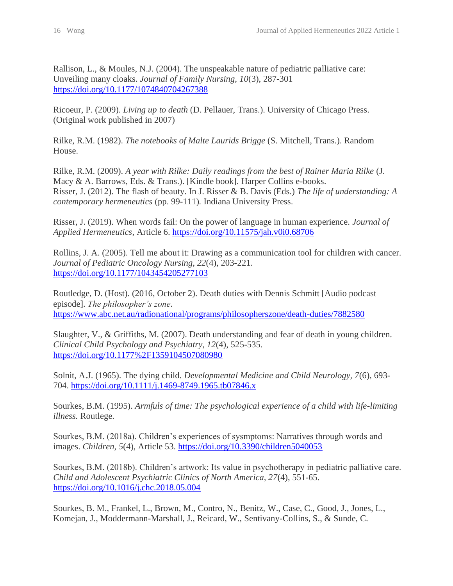Rallison, L., & Moules, N.J. (2004). The unspeakable nature of pediatric palliative care: Unveiling many cloaks. *Journal of Family Nursing, 10*(3), 287-301 <https://doi.org/10.1177/1074840704267388>

Ricoeur, P. (2009). *Living up to death* (D. Pellauer, Trans.). University of Chicago Press. (Original work published in 2007)

Rilke, R.M. (1982). *The notebooks of Malte Laurids Brigge* (S. Mitchell, Trans.). Random House.

Rilke, R.M. (2009). *A year with Rilke: Daily readings from the best of Rainer Maria Rilke* (J. Macy & A. Barrows, Eds. & Trans.). [Kindle book]. Harper Collins e-books. Risser, J. (2012). The flash of beauty. In J. Risser & B. Davis (Eds.) *The life of understanding: A contemporary hermeneutics* (pp. 99-111)*.* Indiana University Press.

Risser, J. (2019). When words fail: On the power of language in human experience. *Journal of Applied Hermeneutics*, Article 6.<https://doi.org/10.11575/jah.v0i0.68706>

Rollins, J. A. (2005). Tell me about it: Drawing as a communication tool for children with cancer. *Journal of Pediatric Oncology Nursing, 22*(4), 203-221. <https://doi.org/10.1177/1043454205277103>

Routledge, D. (Host). (2016, October 2). Death duties with Dennis Schmitt [Audio podcast episode]. *The philosopher's zone*. <https://www.abc.net.au/radionational/programs/philosopherszone/death-duties/7882580>

Slaughter, V., & Griffiths, M. (2007). Death understanding and fear of death in young children. *Clinical Child Psychology and Psychiatry, 12*(4), 525-535. <https://doi.org/10.1177%2F1359104507080980>

Solnit, A.J. (1965). The dying child. *Developmental Medicine and Child Neurology, 7*(6), 693- 704.<https://doi.org/10.1111/j.1469-8749.1965.tb07846.x>

Sourkes, B.M. (1995). *Armfuls of time: The psychological experience of a child with life-limiting illness.* Routlege.

Sourkes, B.M. (2018a). Children's experiences of sysmptoms: Narratives through words and images. *Children, 5*(4), Article 53.<https://doi.org/10.3390/children5040053>

Sourkes, B.M. (2018b). Children's artwork: Its value in psychotherapy in pediatric palliative care. *Child and Adolescent Psychiatric Clinics of North America, 27*(4), 551-65. <https://doi.org/10.1016/j.chc.2018.05.004>

Sourkes, B. M., Frankel, L., Brown, M., Contro, N., Benitz, W., Case, C., Good, J., Jones, L., Komejan, J., Moddermann-Marshall, J., Reicard, W., Sentivany-Collins, S., & Sunde, C.